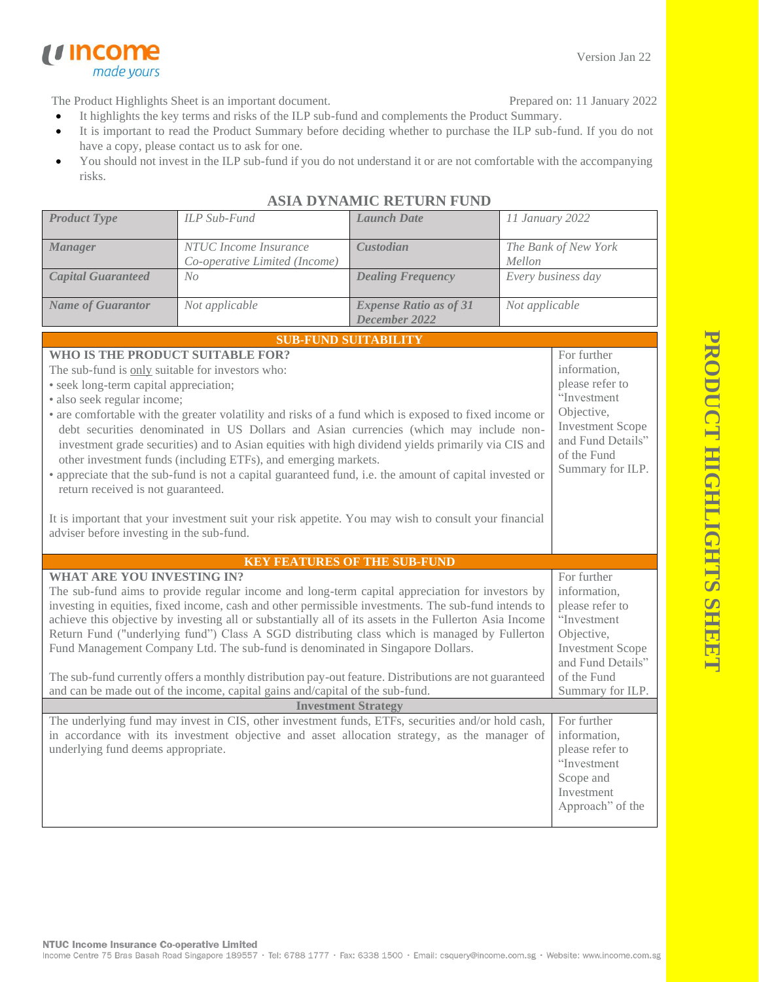**PRODUCT HIGHLIGHTS SHEE PRODUCT HIGHLIGHTS SHEET**



The Product Highlights Sheet is an important document.

made yours

u income

- Prepared on: 11 January 2022
- It highlights the key terms and risks of the ILP sub-fund and complements the Product Summary.
- It is important to read the Product Summary before deciding whether to purchase the ILP sub-fund. If you do not have a copy, please contact us to ask for one.
- You should not invest in the ILP sub-fund if you do not understand it or are not comfortable with the accompanying risks.

| <b>Product Type</b>                                                                                                                                                                                                                                                                                                                                                                                                                                                                                                                                                                                                                                                                                                                                                                                                                            | <b>ILP</b> Sub-Fund                                                                                                                                                                               | <b>Launch Date</b>                             | 11 January 2022                                                                                                                                                |                                                                                                              |
|------------------------------------------------------------------------------------------------------------------------------------------------------------------------------------------------------------------------------------------------------------------------------------------------------------------------------------------------------------------------------------------------------------------------------------------------------------------------------------------------------------------------------------------------------------------------------------------------------------------------------------------------------------------------------------------------------------------------------------------------------------------------------------------------------------------------------------------------|---------------------------------------------------------------------------------------------------------------------------------------------------------------------------------------------------|------------------------------------------------|----------------------------------------------------------------------------------------------------------------------------------------------------------------|--------------------------------------------------------------------------------------------------------------|
| <b>Manager</b>                                                                                                                                                                                                                                                                                                                                                                                                                                                                                                                                                                                                                                                                                                                                                                                                                                 | NTUC Income Insurance<br>Co-operative Limited (Income)                                                                                                                                            | Custodian                                      | The Bank of New York<br>Mellon                                                                                                                                 |                                                                                                              |
| <b>Capital Guaranteed</b>                                                                                                                                                                                                                                                                                                                                                                                                                                                                                                                                                                                                                                                                                                                                                                                                                      | No                                                                                                                                                                                                | <b>Dealing Frequency</b>                       | Every business day                                                                                                                                             |                                                                                                              |
| <b>Name of Guarantor</b>                                                                                                                                                                                                                                                                                                                                                                                                                                                                                                                                                                                                                                                                                                                                                                                                                       | Not applicable                                                                                                                                                                                    | <b>Expense Ratio as of 31</b><br>December 2022 | Not applicable                                                                                                                                                 |                                                                                                              |
|                                                                                                                                                                                                                                                                                                                                                                                                                                                                                                                                                                                                                                                                                                                                                                                                                                                |                                                                                                                                                                                                   | <b>SUB-FUND SUITABILITY</b>                    |                                                                                                                                                                |                                                                                                              |
| WHO IS THE PRODUCT SUITABLE FOR?<br>The sub-fund is only suitable for investors who:<br>• seek long-term capital appreciation;<br>· also seek regular income;<br>• are comfortable with the greater volatility and risks of a fund which is exposed to fixed income or<br>debt securities denominated in US Dollars and Asian currencies (which may include non-<br>investment grade securities) and to Asian equities with high dividend yields primarily via CIS and<br>other investment funds (including ETFs), and emerging markets.<br>• appreciate that the sub-fund is not a capital guaranteed fund, i.e. the amount of capital invested or<br>return received is not guaranteed.<br>It is important that your investment suit your risk appetite. You may wish to consult your financial<br>adviser before investing in the sub-fund. | For further<br>information,<br>please refer to<br>"Investment<br>Objective,<br><b>Investment Scope</b><br>and Fund Details"<br>of the Fund<br>Summary for ILP.                                    |                                                |                                                                                                                                                                |                                                                                                              |
|                                                                                                                                                                                                                                                                                                                                                                                                                                                                                                                                                                                                                                                                                                                                                                                                                                                |                                                                                                                                                                                                   |                                                |                                                                                                                                                                |                                                                                                              |
| <b>KEY FEATURES OF THE SUB-FUND</b><br><b>WHAT ARE YOU INVESTING IN?</b><br>The sub-fund aims to provide regular income and long-term capital appreciation for investors by<br>investing in equities, fixed income, cash and other permissible investments. The sub-fund intends to<br>achieve this objective by investing all or substantially all of its assets in the Fullerton Asia Income<br>Return Fund ("underlying fund") Class A SGD distributing class which is managed by Fullerton<br>Fund Management Company Ltd. The sub-fund is denominated in Singapore Dollars.<br>The sub-fund currently offers a monthly distribution pay-out feature. Distributions are not guaranteed<br>and can be made out of the income, capital gains and/capital of the sub-fund.                                                                    |                                                                                                                                                                                                   |                                                | For further<br>information,<br>please refer to<br>"Investment<br>Objective,<br><b>Investment Scope</b><br>and Fund Details"<br>of the Fund<br>Summary for ILP. |                                                                                                              |
| <b>Investment Strategy</b>                                                                                                                                                                                                                                                                                                                                                                                                                                                                                                                                                                                                                                                                                                                                                                                                                     |                                                                                                                                                                                                   |                                                |                                                                                                                                                                |                                                                                                              |
| underlying fund deems appropriate.                                                                                                                                                                                                                                                                                                                                                                                                                                                                                                                                                                                                                                                                                                                                                                                                             | The underlying fund may invest in CIS, other investment funds, ETFs, securities and/or hold cash,<br>in accordance with its investment objective and asset allocation strategy, as the manager of |                                                |                                                                                                                                                                | For further<br>information,<br>please refer to<br>"Investment<br>Scope and<br>Investment<br>Approach" of the |

## **ASIA DYNAMIC RETURN FUND**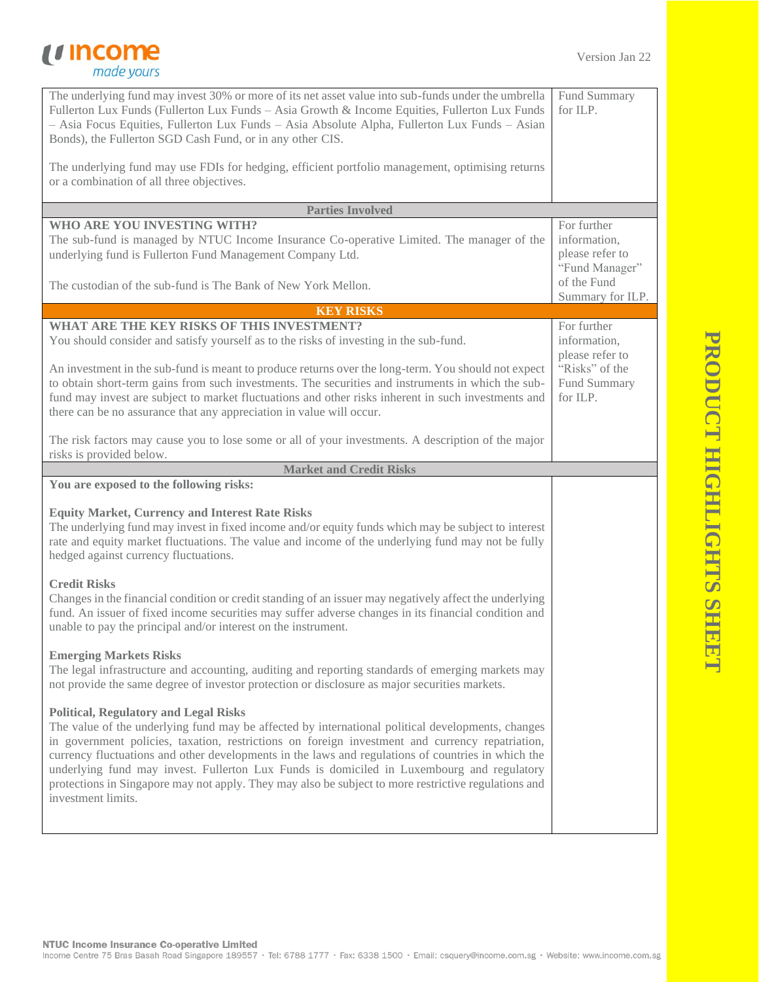## *<u>Income</u>*<br> *made yours*

| The underlying fund may invest 30% or more of its net asset value into sub-funds under the umbrella<br>Fullerton Lux Funds (Fullerton Lux Funds - Asia Growth & Income Equities, Fullerton Lux Funds<br>- Asia Focus Equities, Fullerton Lux Funds - Asia Absolute Alpha, Fullerton Lux Funds - Asian<br>Bonds), the Fullerton SGD Cash Fund, or in any other CIS.<br>The underlying fund may use FDIs for hedging, efficient portfolio management, optimising returns<br>or a combination of all three objectives.                                                                   | Fund Summary<br>for ILP.                                         |
|---------------------------------------------------------------------------------------------------------------------------------------------------------------------------------------------------------------------------------------------------------------------------------------------------------------------------------------------------------------------------------------------------------------------------------------------------------------------------------------------------------------------------------------------------------------------------------------|------------------------------------------------------------------|
| <b>Parties Involved</b>                                                                                                                                                                                                                                                                                                                                                                                                                                                                                                                                                               |                                                                  |
| <b>WHO ARE YOU INVESTING WITH?</b><br>The sub-fund is managed by NTUC Income Insurance Co-operative Limited. The manager of the<br>underlying fund is Fullerton Fund Management Company Ltd.                                                                                                                                                                                                                                                                                                                                                                                          | For further<br>information,<br>please refer to<br>"Fund Manager" |
| The custodian of the sub-fund is The Bank of New York Mellon.                                                                                                                                                                                                                                                                                                                                                                                                                                                                                                                         | of the Fund<br>Summary for ILP.                                  |
| <b>KEY RISKS</b>                                                                                                                                                                                                                                                                                                                                                                                                                                                                                                                                                                      |                                                                  |
| WHAT ARE THE KEY RISKS OF THIS INVESTMENT?                                                                                                                                                                                                                                                                                                                                                                                                                                                                                                                                            | For further                                                      |
| You should consider and satisfy yourself as to the risks of investing in the sub-fund.                                                                                                                                                                                                                                                                                                                                                                                                                                                                                                | information,                                                     |
| An investment in the sub-fund is meant to produce returns over the long-term. You should not expect<br>to obtain short-term gains from such investments. The securities and instruments in which the sub-<br>fund may invest are subject to market fluctuations and other risks inherent in such investments and<br>there can be no assurance that any appreciation in value will occur.                                                                                                                                                                                              | please refer to<br>"Risks" of the<br>Fund Summary<br>for ILP.    |
| The risk factors may cause you to lose some or all of your investments. A description of the major<br>risks is provided below.                                                                                                                                                                                                                                                                                                                                                                                                                                                        |                                                                  |
| <b>Market and Credit Risks</b>                                                                                                                                                                                                                                                                                                                                                                                                                                                                                                                                                        |                                                                  |
| You are exposed to the following risks:                                                                                                                                                                                                                                                                                                                                                                                                                                                                                                                                               |                                                                  |
| <b>Equity Market, Currency and Interest Rate Risks</b><br>The underlying fund may invest in fixed income and/or equity funds which may be subject to interest<br>rate and equity market fluctuations. The value and income of the underlying fund may not be fully<br>hedged against currency fluctuations.                                                                                                                                                                                                                                                                           |                                                                  |
|                                                                                                                                                                                                                                                                                                                                                                                                                                                                                                                                                                                       |                                                                  |
| <b>Credit Risks</b><br>Changes in the financial condition or credit standing of an issuer may negatively affect the underlying<br>fund. An issuer of fixed income securities may suffer adverse changes in its financial condition and<br>unable to pay the principal and/or interest on the instrument.                                                                                                                                                                                                                                                                              |                                                                  |
| <b>Emerging Markets Risks</b><br>The legal infrastructure and accounting, auditing and reporting standards of emerging markets may<br>not provide the same degree of investor protection or disclosure as major securities markets.                                                                                                                                                                                                                                                                                                                                                   |                                                                  |
| <b>Political, Regulatory and Legal Risks</b><br>The value of the underlying fund may be affected by international political developments, changes<br>in government policies, taxation, restrictions on foreign investment and currency repatriation,<br>currency fluctuations and other developments in the laws and regulations of countries in which the<br>underlying fund may invest. Fullerton Lux Funds is domiciled in Luxembourg and regulatory<br>protections in Singapore may not apply. They may also be subject to more restrictive regulations and<br>investment limits. |                                                                  |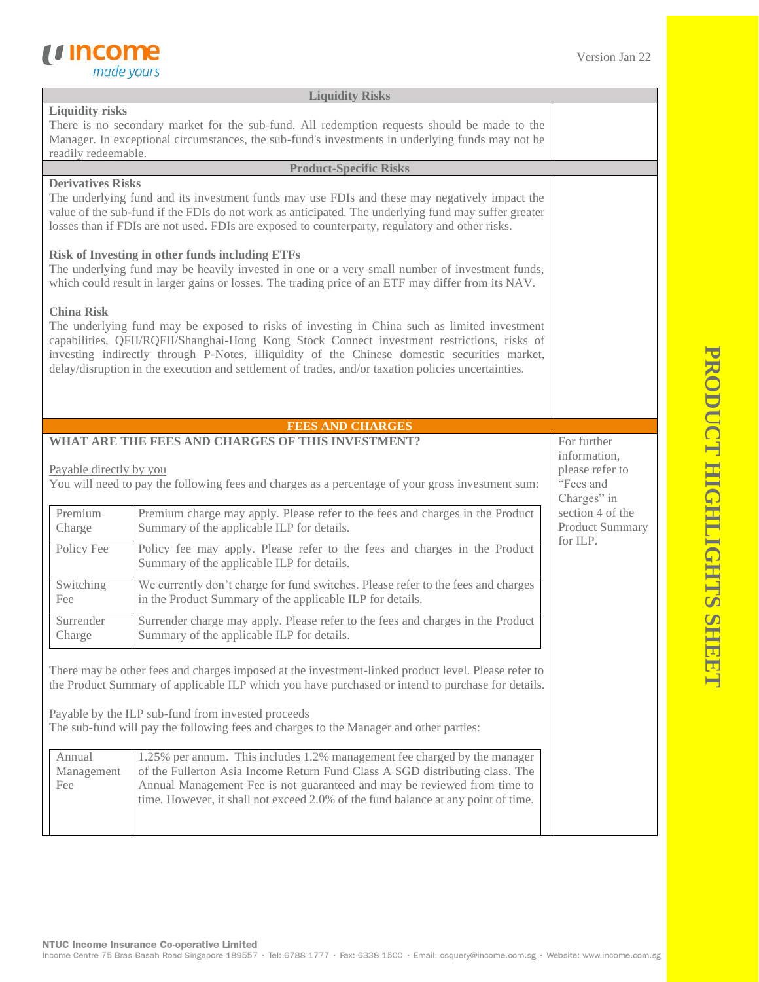

| <b>Liquidity Risks</b>                                                                                                                                                                                                                                                                                                                                                                                                                                                                                                                                                                                                                                                                                                |                                                                                                                                                |                                                                            |
|-----------------------------------------------------------------------------------------------------------------------------------------------------------------------------------------------------------------------------------------------------------------------------------------------------------------------------------------------------------------------------------------------------------------------------------------------------------------------------------------------------------------------------------------------------------------------------------------------------------------------------------------------------------------------------------------------------------------------|------------------------------------------------------------------------------------------------------------------------------------------------|----------------------------------------------------------------------------|
| <b>Liquidity risks</b><br>There is no secondary market for the sub-fund. All redemption requests should be made to the<br>Manager. In exceptional circumstances, the sub-fund's investments in underlying funds may not be<br>readily redeemable.                                                                                                                                                                                                                                                                                                                                                                                                                                                                     |                                                                                                                                                |                                                                            |
|                                                                                                                                                                                                                                                                                                                                                                                                                                                                                                                                                                                                                                                                                                                       | <b>Product-Specific Risks</b>                                                                                                                  |                                                                            |
| <b>Derivatives Risks</b><br>The underlying fund and its investment funds may use FDIs and these may negatively impact the<br>value of the sub-fund if the FDIs do not work as anticipated. The underlying fund may suffer greater<br>losses than if FDIs are not used. FDIs are exposed to counterparty, regulatory and other risks.                                                                                                                                                                                                                                                                                                                                                                                  |                                                                                                                                                |                                                                            |
| <b>Risk of Investing in other funds including ETFs</b><br>The underlying fund may be heavily invested in one or a very small number of investment funds,<br>which could result in larger gains or losses. The trading price of an ETF may differ from its NAV.                                                                                                                                                                                                                                                                                                                                                                                                                                                        |                                                                                                                                                |                                                                            |
| <b>China Risk</b><br>The underlying fund may be exposed to risks of investing in China such as limited investment<br>capabilities, QFII/RQFII/Shanghai-Hong Kong Stock Connect investment restrictions, risks of<br>investing indirectly through P-Notes, illiquidity of the Chinese domestic securities market,<br>delay/disruption in the execution and settlement of trades, and/or taxation policies uncertainties.                                                                                                                                                                                                                                                                                               |                                                                                                                                                |                                                                            |
|                                                                                                                                                                                                                                                                                                                                                                                                                                                                                                                                                                                                                                                                                                                       | <b>FEES AND CHARGES</b>                                                                                                                        |                                                                            |
| WHAT ARE THE FEES AND CHARGES OF THIS INVESTMENT?<br>Payable directly by you<br>You will need to pay the following fees and charges as a percentage of your gross investment sum:                                                                                                                                                                                                                                                                                                                                                                                                                                                                                                                                     |                                                                                                                                                | For further<br>information,<br>please refer to<br>"Fees and<br>Charges" in |
| Premium<br>Charge                                                                                                                                                                                                                                                                                                                                                                                                                                                                                                                                                                                                                                                                                                     | Premium charge may apply. Please refer to the fees and charges in the Product<br>Summary of the applicable ILP for details.                    | section 4 of the<br>Product Summary                                        |
| Policy Fee                                                                                                                                                                                                                                                                                                                                                                                                                                                                                                                                                                                                                                                                                                            | Policy fee may apply. Please refer to the fees and charges in the Product<br>Summary of the applicable ILP for details.                        | for ILP.                                                                   |
| Switching<br>Fee                                                                                                                                                                                                                                                                                                                                                                                                                                                                                                                                                                                                                                                                                                      | We currently don't charge for fund switches. Please refer to the fees and charges<br>in the Product Summary of the applicable ILP for details. |                                                                            |
| Surrender<br>Charge                                                                                                                                                                                                                                                                                                                                                                                                                                                                                                                                                                                                                                                                                                   | Surrender charge may apply. Please refer to the fees and charges in the Product<br>Summary of the applicable ILP for details.                  |                                                                            |
| There may be other fees and charges imposed at the investment-linked product level. Please refer to<br>the Product Summary of applicable ILP which you have purchased or intend to purchase for details.<br>Payable by the ILP sub-fund from invested proceeds<br>The sub-fund will pay the following fees and charges to the Manager and other parties:<br>Annual<br>1.25% per annum. This includes 1.2% management fee charged by the manager<br>of the Fullerton Asia Income Return Fund Class A SGD distributing class. The<br>Management<br>Annual Management Fee is not guaranteed and may be reviewed from time to<br>Fee<br>time. However, it shall not exceed 2.0% of the fund balance at any point of time. |                                                                                                                                                |                                                                            |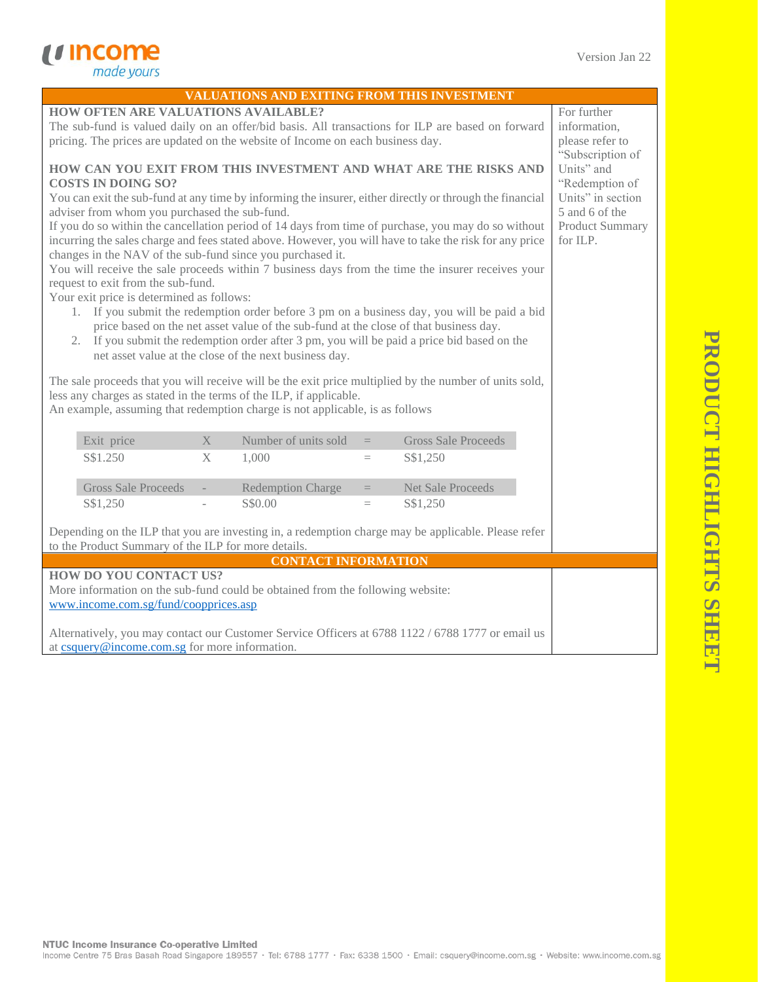*<u>Income</u>*<br> *made yours* 

| <b>VALUATIONS AND EXITING FROM THIS INVESTMENT</b>                                                                                                        |                                     |  |  |  |
|-----------------------------------------------------------------------------------------------------------------------------------------------------------|-------------------------------------|--|--|--|
| <b>HOW OFTEN ARE VALUATIONS AVAILABLE?</b>                                                                                                                | For further                         |  |  |  |
| The sub-fund is valued daily on an offer/bid basis. All transactions for ILP are based on forward                                                         | information,                        |  |  |  |
| pricing. The prices are updated on the website of Income on each business day.                                                                            | please refer to                     |  |  |  |
|                                                                                                                                                           | "Subscription of                    |  |  |  |
| HOW CAN YOU EXIT FROM THIS INVESTMENT AND WHAT ARE THE RISKS AND                                                                                          | Units" and                          |  |  |  |
| <b>COSTS IN DOING SO?</b>                                                                                                                                 | "Redemption of<br>Units" in section |  |  |  |
| You can exit the sub-fund at any time by informing the insurer, either directly or through the financial<br>adviser from whom you purchased the sub-fund. | 5 and 6 of the                      |  |  |  |
| If you do so within the cancellation period of 14 days from time of purchase, you may do so without                                                       | <b>Product Summary</b>              |  |  |  |
| incurring the sales charge and fees stated above. However, you will have to take the risk for any price                                                   | for ILP.                            |  |  |  |
| changes in the NAV of the sub-fund since you purchased it.                                                                                                |                                     |  |  |  |
| You will receive the sale proceeds within 7 business days from the time the insurer receives your                                                         |                                     |  |  |  |
| request to exit from the sub-fund.                                                                                                                        |                                     |  |  |  |
| Your exit price is determined as follows:                                                                                                                 |                                     |  |  |  |
| 1. If you submit the redemption order before 3 pm on a business day, you will be paid a bid                                                               |                                     |  |  |  |
| price based on the net asset value of the sub-fund at the close of that business day.                                                                     |                                     |  |  |  |
| 2. If you submit the redemption order after 3 pm, you will be paid a price bid based on the<br>net asset value at the close of the next business day.     |                                     |  |  |  |
|                                                                                                                                                           |                                     |  |  |  |
| The sale proceeds that you will receive will be the exit price multiplied by the number of units sold,                                                    |                                     |  |  |  |
| less any charges as stated in the terms of the ILP, if applicable.                                                                                        |                                     |  |  |  |
| An example, assuming that redemption charge is not applicable, is as follows                                                                              |                                     |  |  |  |
| Number of units sold<br><b>Gross Sale Proceeds</b><br>Exit price<br>X<br>$=$                                                                              |                                     |  |  |  |
| S\$1.250<br>X<br>1,000<br>S\$1,250<br>$=$                                                                                                                 |                                     |  |  |  |
|                                                                                                                                                           |                                     |  |  |  |
| <b>Gross Sale Proceeds</b><br><b>Redemption Charge</b><br><b>Net Sale Proceeds</b><br>$=$<br>$\sim$                                                       |                                     |  |  |  |
| S\$1,250<br>S\$0.00<br>S\$1,250<br>$=$                                                                                                                    |                                     |  |  |  |
|                                                                                                                                                           |                                     |  |  |  |
| Depending on the ILP that you are investing in, a redemption charge may be applicable. Please refer                                                       |                                     |  |  |  |
| to the Product Summary of the ILP for more details.                                                                                                       |                                     |  |  |  |
| <b>CONTACT INFORMATION</b>                                                                                                                                |                                     |  |  |  |
| <b>HOW DO YOU CONTACT US?</b>                                                                                                                             |                                     |  |  |  |
|                                                                                                                                                           |                                     |  |  |  |
| More information on the sub-fund could be obtained from the following website:                                                                            |                                     |  |  |  |
| www.income.com.sg/fund/coopprices.asp                                                                                                                     |                                     |  |  |  |
| Alternatively, you may contact our Customer Service Officers at 6788 1122 / 6788 1777 or email us                                                         |                                     |  |  |  |

NTUC Income Insurance Co-operative Limited<br>Income Centre 75 Bras Basah Road Singapore 189557 · Tel: 6788 1777 · Fax: 6338 1500 · Email: csquery@income.com.sg · Website: www.income.com.sg